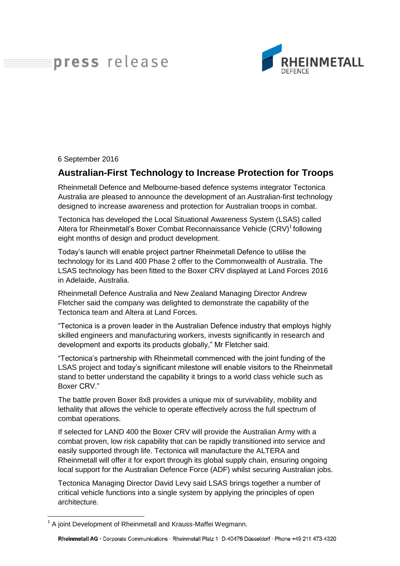## press release



6 September 2016

## **Australian-First Technology to Increase Protection for Troops**

Rheinmetall Defence and Melbourne-based defence systems integrator Tectonica Australia are pleased to announce the development of an Australian-first technology designed to increase awareness and protection for Australian troops in combat.

Tectonica has developed the Local Situational Awareness System (LSAS) called Altera for Rheinmetall's Boxer Combat Reconnaissance Vehicle (CRV)<sup>1</sup> following eight months of design and product development.

Today's launch will enable project partner Rheinmetall Defence to utilise the technology for its Land 400 Phase 2 offer to the Commonwealth of Australia. The LSAS technology has been fitted to the Boxer CRV displayed at Land Forces 2016 in Adelaide, Australia.

Rheinmetall Defence Australia and New Zealand Managing Director Andrew Fletcher said the company was delighted to demonstrate the capability of the Tectonica team and Altera at Land Forces.

"Tectonica is a proven leader in the Australian Defence industry that employs highly skilled engineers and manufacturing workers, invests significantly in research and development and exports its products globally," Mr Fletcher said.

"Tectonica's partnership with Rheinmetall commenced with the joint funding of the LSAS project and today's significant milestone will enable visitors to the Rheinmetall stand to better understand the capability it brings to a world class vehicle such as Boxer CRV."

The battle proven Boxer 8x8 provides a unique mix of survivability, mobility and lethality that allows the vehicle to operate effectively across the full spectrum of combat operations.

If selected for LAND 400 the Boxer CRV will provide the Australian Army with a combat proven, low risk capability that can be rapidly transitioned into service and easily supported through life. Tectonica will manufacture the ALTERA and Rheinmetall will offer it for export through its global supply chain, ensuring ongoing local support for the Australian Defence Force (ADF) whilst securing Australian jobs.

Tectonica Managing Director David Levy said LSAS brings together a number of critical vehicle functions into a single system by applying the principles of open architecture.

 $\overline{a}$ <sup>1</sup> A joint Development of Rheinmetall and Krauss-Maffei Wegmann.